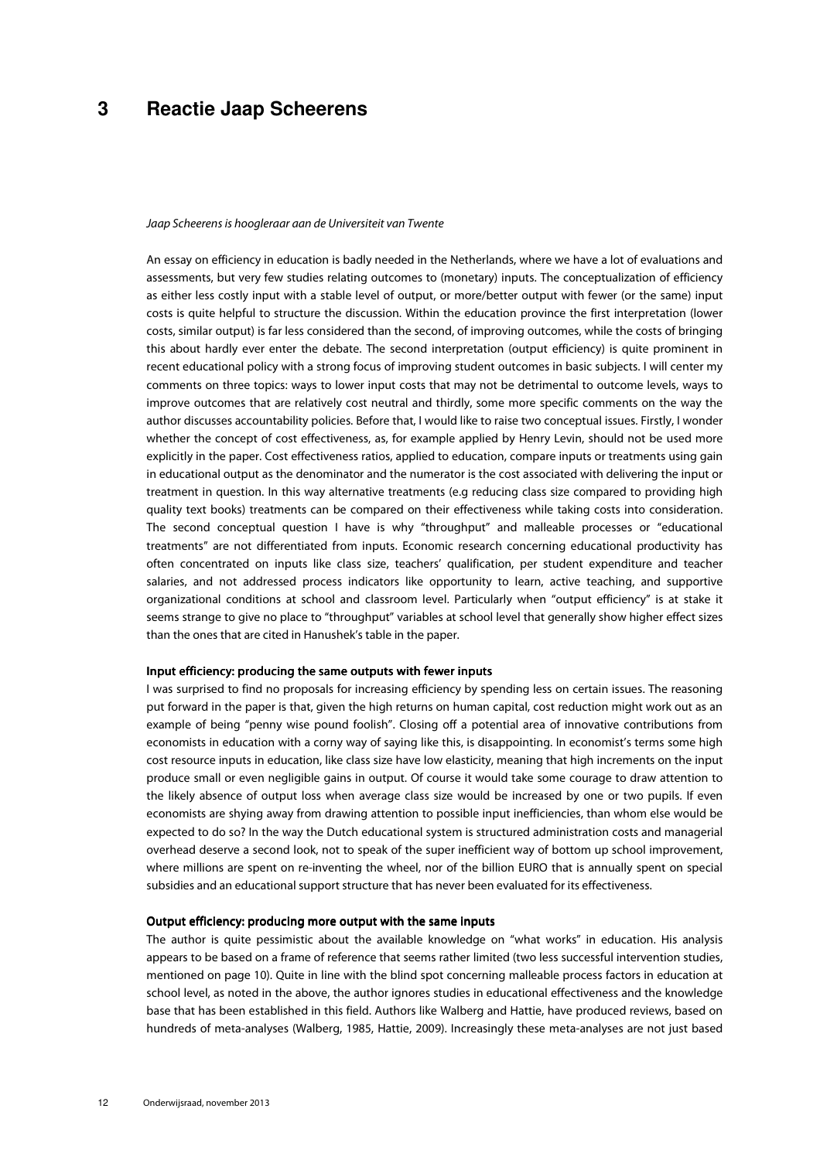# **3 Reactie Jaap Scheerens**

#### Jaap Scheerens is hoogleraar aan de Universiteit van Twente

An essay on efficiency in education is badly needed in the Netherlands, where we have a lot of evaluations and assessments, but very few studies relating outcomes to (monetary) inputs. The conceptualization of efficiency as either less costly input with a stable level of output, or more/better output with fewer (or the same) input costs is quite helpful to structure the discussion. Within the education province the first interpretation (lower costs, similar output) is far less considered than the second, of improving outcomes, while the costs of bringing this about hardly ever enter the debate. The second interpretation (output efficiency) is quite prominent in recent educational policy with a strong focus of improving student outcomes in basic subjects. I will center my comments on three topics: ways to lower input costs that may not be detrimental to outcome levels, ways to improve outcomes that are relatively cost neutral and thirdly, some more specific comments on the way the author discusses accountability policies. Before that, I would like to raise two conceptual issues. Firstly, I wonder whether the concept of cost effectiveness, as, for example applied by Henry Levin, should not be used more explicitly in the paper. Cost effectiveness ratios, applied to education, compare inputs or treatments using gain in educational output as the denominator and the numerator is the cost associated with delivering the input or treatment in question. In this way alternative treatments (e.g reducing class size compared to providing high quality text books) treatments can be compared on their effectiveness while taking costs into consideration. The second conceptual question I have is why "throughput" and malleable processes or "educational treatments" are not differentiated from inputs. Economic research concerning educational productivity has often concentrated on inputs like class size, teachers' qualification, per student expenditure and teacher salaries, and not addressed process indicators like opportunity to learn, active teaching, and supportive organizational conditions at school and classroom level. Particularly when "output efficiency" is at stake it seems strange to give no place to "throughput" variables at school level that generally show higher effect sizes than the ones that are cited in Hanushek's table in the paper.

## Input efficiency: producing the same outputs with fewer inputs

I was surprised to find no proposals for increasing efficiency by spending less on certain issues. The reasoning put forward in the paper is that, given the high returns on human capital, cost reduction might work out as an example of being "penny wise pound foolish". Closing off a potential area of innovative contributions from economists in education with a corny way of saying like this, is disappointing. In economist's terms some high cost resource inputs in education, like class size have low elasticity, meaning that high increments on the input produce small or even negligible gains in output. Of course it would take some courage to draw attention to the likely absence of output loss when average class size would be increased by one or two pupils. If even economists are shying away from drawing attention to possible input inefficiencies, than whom else would be expected to do so? In the way the Dutch educational system is structured administration costs and managerial overhead deserve a second look, not to speak of the super inefficient way of bottom up school improvement, where millions are spent on re-inventing the wheel, nor of the billion EURO that is annually spent on special subsidies and an educational support structure that has never been evaluated for its effectiveness.

## Output efficiency: producing more output with the same inputs

The author is quite pessimistic about the available knowledge on "what works" in education. His analysis appears to be based on a frame of reference that seems rather limited (two less successful intervention studies, mentioned on page 10). Quite in line with the blind spot concerning malleable process factors in education at school level, as noted in the above, the author ignores studies in educational effectiveness and the knowledge base that has been established in this field. Authors like Walberg and Hattie, have produced reviews, based on hundreds of meta-analyses (Walberg, 1985, Hattie, 2009). Increasingly these meta-analyses are not just based